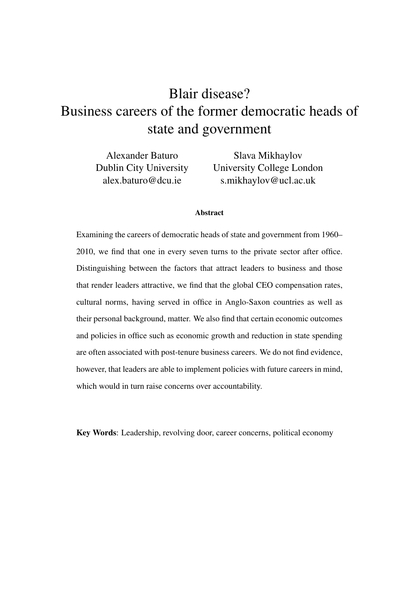# Blair disease? Business careers of the former democratic heads of state and government

Alexander Baturo Dublin City University alex.baturo@dcu.ie

Slava Mikhaylov University College London s.mikhaylov@ucl.ac.uk

### Abstract

Examining the careers of democratic heads of state and government from 1960– 2010, we find that one in every seven turns to the private sector after office. Distinguishing between the factors that attract leaders to business and those that render leaders attractive, we find that the global CEO compensation rates, cultural norms, having served in office in Anglo-Saxon countries as well as their personal background, matter. We also find that certain economic outcomes and policies in office such as economic growth and reduction in state spending are often associated with post-tenure business careers. We do not find evidence, however, that leaders are able to implement policies with future careers in mind, which would in turn raise concerns over accountability.

Key Words: Leadership, revolving door, career concerns, political economy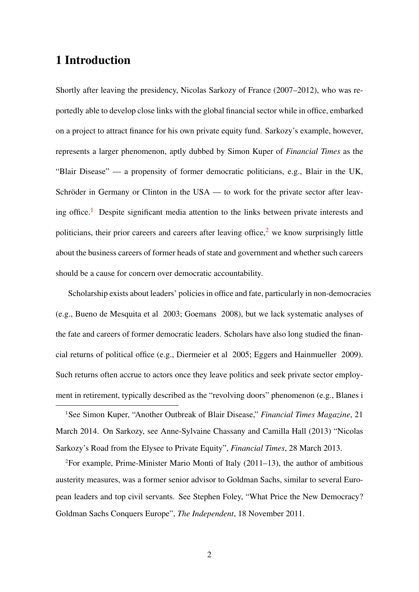# 1 Introduction

Shortly after leaving the presidency, Nicolas Sarkozy of France (2007–2012), who was reportedly able to develop close links with the global financial sector while in office, embarked on a project to attract finance for his own private equity fund. Sarkozy's example, however, represents a larger phenomenon, aptly dubbed by Simon Kuper of *Financial Times* as the "Blair Disease" — a propensity of former democratic politicians, e.g., Blair in the UK, Schröder in Germany or Clinton in the USA — to work for the private sector after leav-ing office.<sup>[1](#page-1-0)</sup> Despite significant media attention to the links between private interests and politicians, their prior careers and careers after leaving office,<sup>[2](#page-1-1)</sup> we know surprisingly little about the business careers of former heads of state and government and whether such careers should be a cause for concern over democratic accountability.

Scholarship exists about leaders' policies in office and fate, particularly in non-democracies (e.g., [Bueno de Mesquita et al](#page-28-0) [2003;](#page-28-0) [Goemans](#page-29-0) [2008\)](#page-29-0), but we lack systematic analyses of the fate and careers of former democratic leaders. Scholars have also long studied the financial returns of political office (e.g., [Diermeier et al](#page-28-1) [2005;](#page-28-1) [Eggers and Hainmueller](#page-28-2) [2009\)](#page-28-2). Such returns often accrue to actors once they leave politics and seek private sector employment in retirement, typically described as the "revolving doors" phenomenon (e.g., [Blanes i](#page-28-3)

<span id="page-1-0"></span><sup>1</sup>[See Simon Kuper, "Another Outbreak of Blair Disease,"](#page-28-3) *Financial Times Magazine*, 21 [March 2014. On Sarkozy, see Anne-Sylvaine Chassany and Camilla Hall \(2013\) "Nicolas](#page-28-3) [Sarkozy's Road from the Elysee to Private Equity",](#page-28-3) *Financial Times*, 28 March 2013.

<span id="page-1-1"></span><sup>2</sup>[For example, Prime-Minister Mario Monti of Italy \(2011–13\), the author of ambitious](#page-28-3) [austerity measures, was a former senior advisor to Goldman Sachs, similar to several Euro](#page-28-3)[pean leaders and top civil servants. See Stephen Foley, "What Price the New Democracy?](#page-28-3) [Goldman Sachs Conquers Europe",](#page-28-3) *The Independent*, 18 November 2011.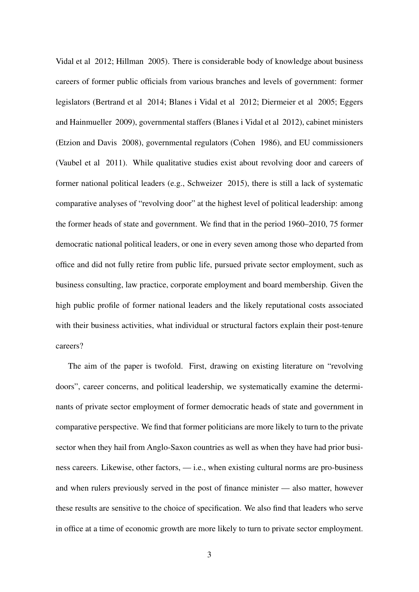[Vidal et al](#page-28-3) [2012;](#page-28-3) [Hillman](#page-29-1) [2005\)](#page-29-1). There is considerable body of knowledge about business careers of former public officials from various branches and levels of government: former legislators [\(Bertrand et al](#page-27-0) [2014;](#page-27-0) [Blanes i Vidal et al](#page-28-3) [2012;](#page-28-3) [Diermeier et al](#page-28-1) [2005;](#page-28-1) [Eggers](#page-28-2) [and Hainmueller](#page-28-2) [2009\)](#page-28-2), governmental staffers [\(Blanes i Vidal et al](#page-28-3) [2012\)](#page-28-3), cabinet ministers [\(Etzion and Davis](#page-28-4) [2008\)](#page-28-4), governmental regulators [\(Cohen](#page-28-5) [1986\)](#page-28-5), and EU commissioners [\(Vaubel et al](#page-30-0) [2011\)](#page-30-0). While qualitative studies exist about revolving door and careers of former national political leaders (e.g., [Schweizer](#page-30-1) [2015\)](#page-30-1), there is still a lack of systematic comparative analyses of "revolving door" at the highest level of political leadership: among the former heads of state and government. We find that in the period 1960–2010, 75 former democratic national political leaders, or one in every seven among those who departed from office and did not fully retire from public life, pursued private sector employment, such as business consulting, law practice, corporate employment and board membership. Given the high public profile of former national leaders and the likely reputational costs associated with their business activities, what individual or structural factors explain their post-tenure careers?

The aim of the paper is twofold. First, drawing on existing literature on "revolving doors", career concerns, and political leadership, we systematically examine the determinants of private sector employment of former democratic heads of state and government in comparative perspective. We find that former politicians are more likely to turn to the private sector when they hail from Anglo-Saxon countries as well as when they have had prior business careers. Likewise, other factors, — i.e., when existing cultural norms are pro-business and when rulers previously served in the post of finance minister — also matter, however these results are sensitive to the choice of specification. We also find that leaders who serve in office at a time of economic growth are more likely to turn to private sector employment.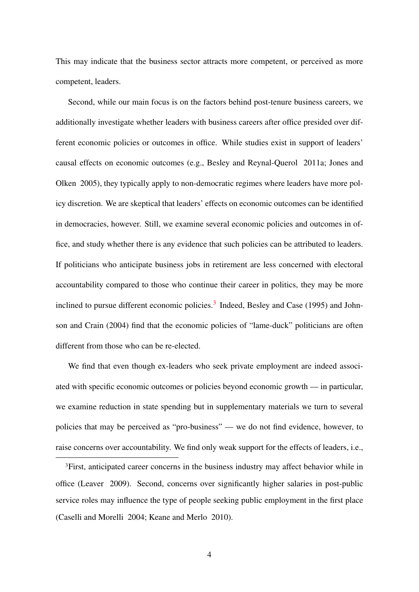This may indicate that the business sector attracts more competent, or perceived as more competent, leaders.

Second, while our main focus is on the factors behind post-tenure business careers, we additionally investigate whether leaders with business careers after office presided over different economic policies or outcomes in office. While studies exist in support of leaders' causal effects on economic outcomes (e.g., [Besley and Reynal-Querol](#page-27-1) [2011a;](#page-27-1) [Jones and](#page-29-2) [Olken](#page-29-2) [2005\)](#page-29-2), they typically apply to non-democratic regimes where leaders have more policy discretion. We are skeptical that leaders' effects on economic outcomes can be identified in democracies, however. Still, we examine several economic policies and outcomes in office, and study whether there is any evidence that such policies can be attributed to leaders. If politicians who anticipate business jobs in retirement are less concerned with electoral accountability compared to those who continue their career in politics, they may be more inclined to pursue different economic policies.<sup>[3](#page-3-0)</sup> Indeed, [Besley and Case](#page-27-2) [\(1995\)](#page-27-2) and [John](#page-29-3)[son and Crain](#page-29-3) [\(2004\)](#page-29-3) find that the economic policies of "lame-duck" politicians are often different from those who can be re-elected.

We find that even though ex-leaders who seek private employment are indeed associated with specific economic outcomes or policies beyond economic growth — in particular, we examine reduction in state spending but in supplementary materials we turn to several policies that may be perceived as "pro-business" — we do not find evidence, however, to raise concerns over accountability. We find only weak support for the effects of leaders, i.e.,

<span id="page-3-0"></span><sup>&</sup>lt;sup>3</sup>First, anticipated career concerns in the business industry may affect behavior while in office [\(Leaver](#page-29-4) [2009\)](#page-29-4). Second, concerns over significantly higher salaries in post-public service roles may influence the type of people seeking public employment in the first place [\(Caselli and Morelli](#page-28-6) [2004;](#page-28-6) [Keane and Merlo](#page-29-5) [2010\)](#page-29-5).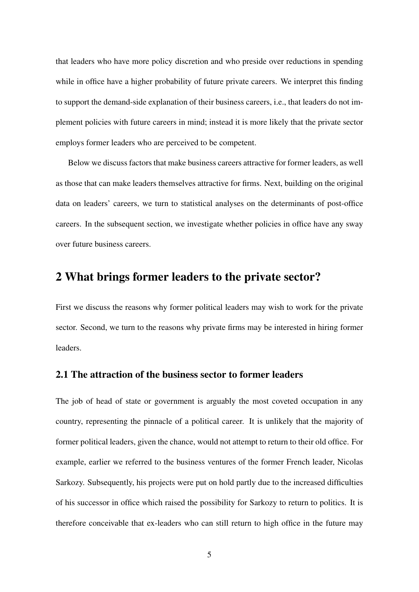that leaders who have more policy discretion and who preside over reductions in spending while in office have a higher probability of future private careers. We interpret this finding to support the demand-side explanation of their business careers, i.e., that leaders do not implement policies with future careers in mind; instead it is more likely that the private sector employs former leaders who are perceived to be competent.

Below we discuss factors that make business careers attractive for former leaders, as well as those that can make leaders themselves attractive for firms. Next, building on the original data on leaders' careers, we turn to statistical analyses on the determinants of post-office careers. In the subsequent section, we investigate whether policies in office have any sway over future business careers.

# 2 What brings former leaders to the private sector?

First we discuss the reasons why former political leaders may wish to work for the private sector. Second, we turn to the reasons why private firms may be interested in hiring former leaders.

### 2.1 The attraction of the business sector to former leaders

The job of head of state or government is arguably the most coveted occupation in any country, representing the pinnacle of a political career. It is unlikely that the majority of former political leaders, given the chance, would not attempt to return to their old office. For example, earlier we referred to the business ventures of the former French leader, Nicolas Sarkozy. Subsequently, his projects were put on hold partly due to the increased difficulties of his successor in office which raised the possibility for Sarkozy to return to politics. It is therefore conceivable that ex-leaders who can still return to high office in the future may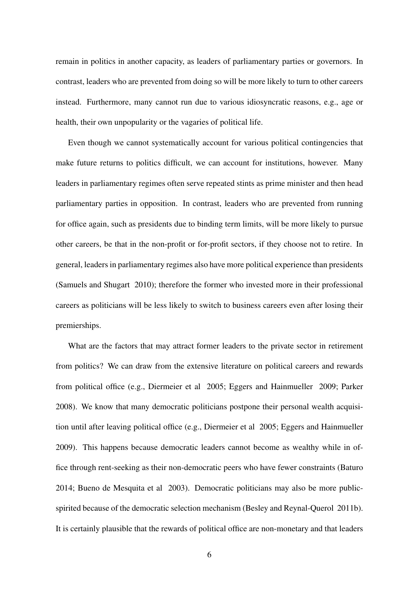remain in politics in another capacity, as leaders of parliamentary parties or governors. In contrast, leaders who are prevented from doing so will be more likely to turn to other careers instead. Furthermore, many cannot run due to various idiosyncratic reasons, e.g., age or health, their own unpopularity or the vagaries of political life.

Even though we cannot systematically account for various political contingencies that make future returns to politics difficult, we can account for institutions, however. Many leaders in parliamentary regimes often serve repeated stints as prime minister and then head parliamentary parties in opposition. In contrast, leaders who are prevented from running for office again, such as presidents due to binding term limits, will be more likely to pursue other careers, be that in the non-profit or for-profit sectors, if they choose not to retire. In general, leaders in parliamentary regimes also have more political experience than presidents [\(Samuels and Shugart](#page-30-2) [2010\)](#page-30-2); therefore the former who invested more in their professional careers as politicians will be less likely to switch to business careers even after losing their premierships.

What are the factors that may attract former leaders to the private sector in retirement from politics? We can draw from the extensive literature on political careers and rewards from political office (e.g., [Diermeier et al](#page-28-1) [2005;](#page-28-1) [Eggers and Hainmueller](#page-28-2) [2009;](#page-28-2) [Parker](#page-30-3) [2008\)](#page-30-3). We know that many democratic politicians postpone their personal wealth acquisition until after leaving political office (e.g., [Diermeier et al](#page-28-1) [2005;](#page-28-1) [Eggers and Hainmueller](#page-28-2) [2009\)](#page-28-2). This happens because democratic leaders cannot become as wealthy while in office through rent-seeking as their non-democratic peers who have fewer constraints [\(Baturo](#page-27-3) [2014;](#page-27-3) [Bueno de Mesquita et al](#page-28-0) [2003\)](#page-28-0). Democratic politicians may also be more publicspirited because of the democratic selection mechanism [\(Besley and Reynal-Querol](#page-27-4) [2011b\)](#page-27-4). It is certainly plausible that the rewards of political office are non-monetary and that leaders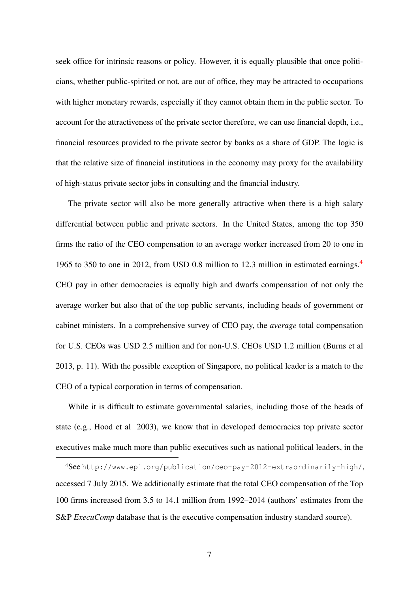seek office for intrinsic reasons or policy. However, it is equally plausible that once politicians, whether public-spirited or not, are out of office, they may be attracted to occupations with higher monetary rewards, especially if they cannot obtain them in the public sector. To account for the attractiveness of the private sector therefore, we can use financial depth, i.e., financial resources provided to the private sector by banks as a share of GDP. The logic is that the relative size of financial institutions in the economy may proxy for the availability of high-status private sector jobs in consulting and the financial industry.

The private sector will also be more generally attractive when there is a high salary differential between public and private sectors. In the United States, among the top 350 firms the ratio of the CEO compensation to an average worker increased from 20 to one in 1965 to 350 to one in 2012, from USD 0.8 million to 12.3 million in estimated earnings.<sup>[4](#page-6-0)</sup> CEO pay in other democracies is equally high and dwarfs compensation of not only the average worker but also that of the top public servants, including heads of government or cabinet ministers. In a comprehensive survey of CEO pay, the *average* total compensation for U.S. CEOs was USD 2.5 million and for non-U.S. CEOs USD 1.2 million [\(Burns et al](#page-28-7) [2013,](#page-28-7) p. 11). With the possible exception of Singapore, no political leader is a match to the CEO of a typical corporation in terms of compensation.

While it is difficult to estimate governmental salaries, including those of the heads of state (e.g., [Hood et al](#page-29-6) [2003\)](#page-29-6), we know that in developed democracies top private sector executives make much more than public executives such as national political leaders, in the

<span id="page-6-0"></span><sup>4</sup>See <http://www.epi.org/publication/ceo-pay-2012-extraordinarily-high/>, accessed 7 July 2015. We additionally estimate that the total CEO compensation of the Top 100 firms increased from 3.5 to 14.1 million from 1992–2014 (authors' estimates from the S&P *ExecuComp* database that is the executive compensation industry standard source).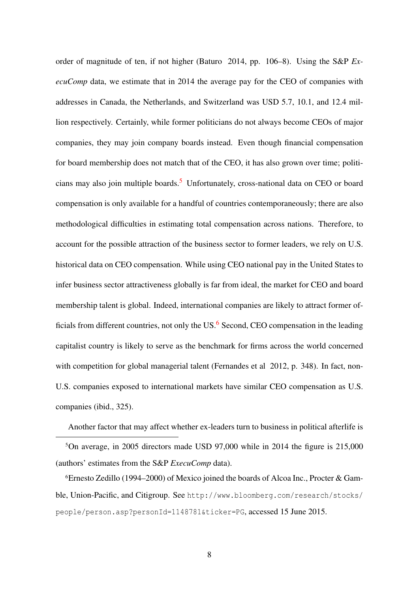order of magnitude of ten, if not higher [\(Baturo](#page-27-3) [2014,](#page-27-3) pp. 106–8). Using the S&P *ExecuComp* data, we estimate that in 2014 the average pay for the CEO of companies with addresses in Canada, the Netherlands, and Switzerland was USD 5.7, 10.1, and 12.4 million respectively. Certainly, while former politicians do not always become CEOs of major companies, they may join company boards instead. Even though financial compensation for board membership does not match that of the CEO, it has also grown over time; politi-cians may also join multiple boards.<sup>[5](#page-7-0)</sup> Unfortunately, cross-national data on CEO or board compensation is only available for a handful of countries contemporaneously; there are also methodological difficulties in estimating total compensation across nations. Therefore, to account for the possible attraction of the business sector to former leaders, we rely on U.S. historical data on CEO compensation. While using CEO national pay in the United States to infer business sector attractiveness globally is far from ideal, the market for CEO and board membership talent is global. Indeed, international companies are likely to attract former officials from different countries, not only the US. $<sup>6</sup>$  $<sup>6</sup>$  $<sup>6</sup>$  Second, CEO compensation in the leading</sup> capitalist country is likely to serve as the benchmark for firms across the world concerned with competition for global managerial talent [\(Fernandes et al](#page-29-7) [2012,](#page-29-7) p. 348). In fact, non-U.S. companies exposed to international markets have similar CEO compensation as U.S. companies (ibid., 325).

Another factor that may affect whether ex-leaders turn to business in political afterlife is

<span id="page-7-0"></span><sup>5</sup>On average, in 2005 directors made USD 97,000 while in 2014 the figure is 215,000 (authors' estimates from the S&P *ExecuComp* data).

<span id="page-7-1"></span>6Ernesto Zedillo (1994–2000) of Mexico joined the boards of Alcoa Inc., Procter & Gamble, Union-Pacific, and Citigroup. See [http://www.bloomberg.com/research/stocks/](http://www.bloomberg.com/research/stocks/people/person.asp?personId=1148781&ticker=PG) [people/person.asp?personId=1148781&ticker=PG](http://www.bloomberg.com/research/stocks/people/person.asp?personId=1148781&ticker=PG), accessed 15 June 2015.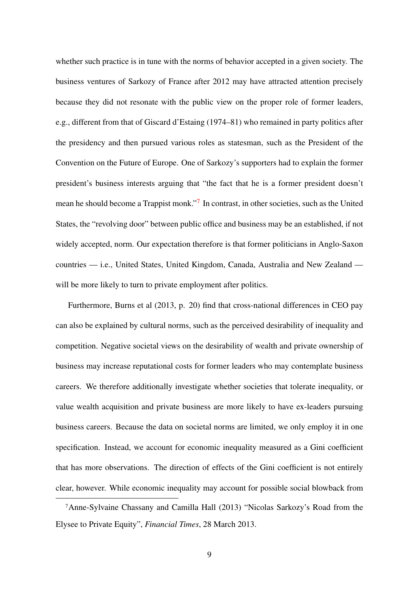whether such practice is in tune with the norms of behavior accepted in a given society. The business ventures of Sarkozy of France after 2012 may have attracted attention precisely because they did not resonate with the public view on the proper role of former leaders, e.g., different from that of Giscard d'Estaing (1974–81) who remained in party politics after the presidency and then pursued various roles as statesman, such as the President of the Convention on the Future of Europe. One of Sarkozy's supporters had to explain the former president's business interests arguing that "the fact that he is a former president doesn't mean he should become a Trappist monk."<sup>[7](#page-8-0)</sup> In contrast, in other societies, such as the United States, the "revolving door" between public office and business may be an established, if not widely accepted, norm. Our expectation therefore is that former politicians in Anglo-Saxon countries — i.e., United States, United Kingdom, Canada, Australia and New Zealand will be more likely to turn to private employment after politics.

Furthermore, [Burns et al](#page-28-7) [\(2013,](#page-28-7) p. 20) find that cross-national differences in CEO pay can also be explained by cultural norms, such as the perceived desirability of inequality and competition. Negative societal views on the desirability of wealth and private ownership of business may increase reputational costs for former leaders who may contemplate business careers. We therefore additionally investigate whether societies that tolerate inequality, or value wealth acquisition and private business are more likely to have ex-leaders pursuing business careers. Because the data on societal norms are limited, we only employ it in one specification. Instead, we account for economic inequality measured as a Gini coefficient that has more observations. The direction of effects of the Gini coefficient is not entirely clear, however. While economic inequality may account for possible social blowback from

<span id="page-8-0"></span><sup>7</sup>Anne-Sylvaine Chassany and Camilla Hall (2013) "Nicolas Sarkozy's Road from the Elysee to Private Equity", *Financial Times*, 28 March 2013.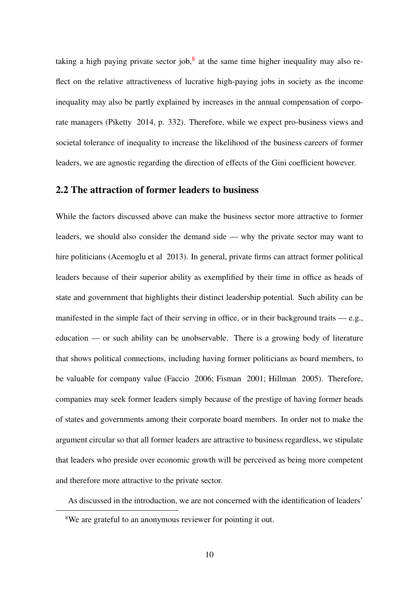taking a high paying private sector job, $8$  at the same time higher inequality may also reflect on the relative attractiveness of lucrative high-paying jobs in society as the income inequality may also be partly explained by increases in the annual compensation of corporate managers [\(Piketty](#page-30-4) [2014,](#page-30-4) p. 332). Therefore, while we expect pro-business views and societal tolerance of inequality to increase the likelihood of the business careers of former leaders, we are agnostic regarding the direction of effects of the Gini coefficient however.

### 2.2 The attraction of former leaders to business

While the factors discussed above can make the business sector more attractive to former leaders, we should also consider the demand side — why the private sector may want to hire politicians [\(Acemoglu et al](#page-27-5) [2013\)](#page-27-5). In general, private firms can attract former political leaders because of their superior ability as exemplified by their time in office as heads of state and government that highlights their distinct leadership potential. Such ability can be manifested in the simple fact of their serving in office, or in their background traits  $-e.g.,$ education — or such ability can be unobservable. There is a growing body of literature that shows political connections, including having former politicians as board members, to be valuable for company value [\(Faccio](#page-29-8) [2006;](#page-29-8) [Fisman](#page-29-9) [2001;](#page-29-9) [Hillman](#page-29-1) [2005\)](#page-29-1). Therefore, companies may seek former leaders simply because of the prestige of having former heads of states and governments among their corporate board members. In order not to make the argument circular so that all former leaders are attractive to business regardless, we stipulate that leaders who preside over economic growth will be perceived as being more competent and therefore more attractive to the private sector.

As discussed in the introduction, we are not concerned with the identification of leaders'

<span id="page-9-0"></span><sup>8</sup>We are grateful to an anonymous reviewer for pointing it out.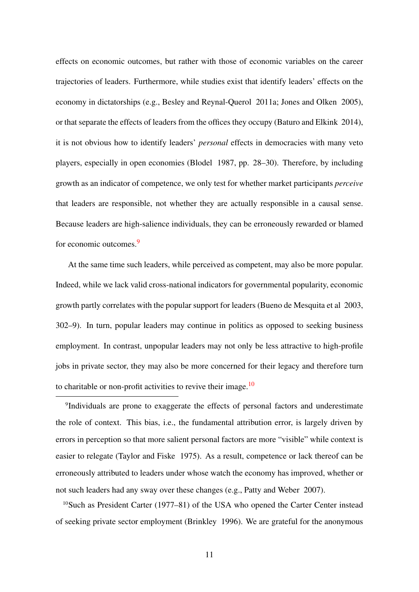effects on economic outcomes, but rather with those of economic variables on the career trajectories of leaders. Furthermore, while studies exist that identify leaders' effects on the economy in dictatorships (e.g., [Besley and Reynal-Querol](#page-27-1) [2011a;](#page-27-1) [Jones and Olken](#page-29-2) [2005\)](#page-29-2), or that separate the effects of leaders from the offices they occupy [\(Baturo and Elkink](#page-27-6) [2014\)](#page-27-6), it is not obvious how to identify leaders' *personal* effects in democracies with many veto players, especially in open economies [\(Blodel](#page-28-8) [1987,](#page-28-8) pp. 28–30). Therefore, by including growth as an indicator of competence, we only test for whether market participants *perceive* that leaders are responsible, not whether they are actually responsible in a causal sense. Because leaders are high-salience individuals, they can be erroneously rewarded or blamed for economic outcomes.[9](#page-10-0)

At the same time such leaders, while perceived as competent, may also be more popular. Indeed, while we lack valid cross-national indicators for governmental popularity, economic growth partly correlates with the popular support for leaders [\(Bueno de Mesquita et al](#page-28-0) [2003,](#page-28-0) 302–9). In turn, popular leaders may continue in politics as opposed to seeking business employment. In contrast, unpopular leaders may not only be less attractive to high-profile jobs in private sector, they may also be more concerned for their legacy and therefore turn to charitable or non-profit activities to revive their image.[10](#page-10-1)

<span id="page-10-0"></span><sup>9</sup>Individuals are prone to exaggerate the effects of personal factors and underestimate the role of context. This bias, i.e., the fundamental attribution error, is largely driven by errors in perception so that more salient personal factors are more "visible" while context is easier to relegate [\(Taylor and Fiske](#page-30-5) [1975\)](#page-30-5). As a result, competence or lack thereof can be erroneously attributed to leaders under whose watch the economy has improved, whether or not such leaders had any sway over these changes (e.g., [Patty and Weber](#page-30-6) [2007\)](#page-30-6).

<span id="page-10-1"></span><sup>10</sup>Such as President Carter (1977–81) of the USA who opened the Carter Center instead of seeking private sector employment [\(Brinkley](#page-28-9) [1996\)](#page-28-9). We are grateful for the anonymous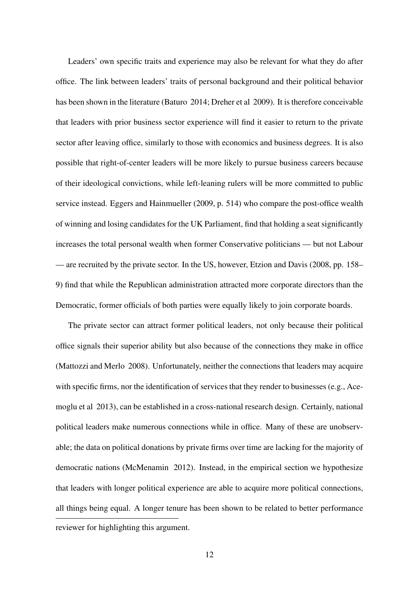Leaders' own specific traits and experience may also be relevant for what they do after office. The link between leaders' traits of personal background and their political behavior has been shown in the literature [\(Baturo](#page-27-3) [2014;](#page-27-3) [Dreher et al](#page-28-10) [2009\)](#page-28-10). It is therefore conceivable that leaders with prior business sector experience will find it easier to return to the private sector after leaving office, similarly to those with economics and business degrees. It is also possible that right-of-center leaders will be more likely to pursue business careers because of their ideological convictions, while left-leaning rulers will be more committed to public service instead. [Eggers and Hainmueller](#page-28-2) [\(2009,](#page-28-2) p. 514) who compare the post-office wealth of winning and losing candidates for the UK Parliament, find that holding a seat significantly increases the total personal wealth when former Conservative politicians — but not Labour — are recruited by the private sector. In the US, however, [Etzion and Davis](#page-28-4) [\(2008,](#page-28-4) pp. 158– 9) find that while the Republican administration attracted more corporate directors than the Democratic, former officials of both parties were equally likely to join corporate boards.

The private sector can attract former political leaders, not only because their political office signals their superior ability but also because of the connections they make in office [\(Mattozzi and Merlo](#page-30-7) [2008\)](#page-30-7). Unfortunately, neither the connections that leaders may acquire with specific firms, nor the identification of services that they render to businesses (e.g., [Ace](#page-27-5)[moglu et al](#page-27-5) [2013\)](#page-27-5), can be established in a cross-national research design. Certainly, national political leaders make numerous connections while in office. Many of these are unobservable; the data on political donations by private firms over time are lacking for the majority of democratic nations [\(McMenamin](#page-30-8) [2012\)](#page-30-8). Instead, in the empirical section we hypothesize that leaders with longer political experience are able to acquire more political connections, all things being equal. A longer tenure has been shown to be related to better performance reviewer for highlighting this argument.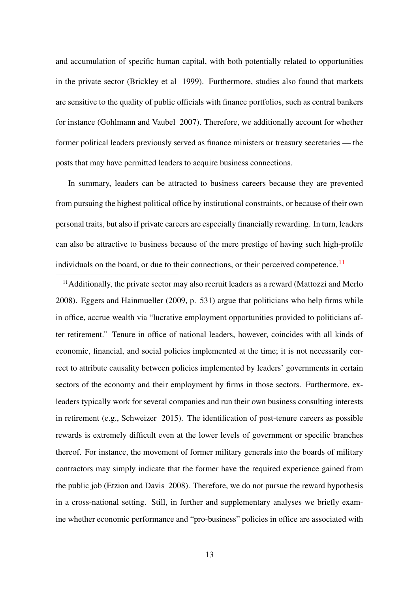and accumulation of specific human capital, with both potentially related to opportunities in the private sector [\(Brickley et al](#page-28-11) [1999\)](#page-28-11). Furthermore, studies also found that markets are sensitive to the quality of public officials with finance portfolios, such as central bankers for instance [\(Gohlmann and Vaubel](#page-29-10) [2007\)](#page-29-10). Therefore, we additionally account for whether former political leaders previously served as finance ministers or treasury secretaries — the posts that may have permitted leaders to acquire business connections.

In summary, leaders can be attracted to business careers because they are prevented from pursuing the highest political office by institutional constraints, or because of their own personal traits, but also if private careers are especially financially rewarding. In turn, leaders can also be attractive to business because of the mere prestige of having such high-profile individuals on the board, or due to their connections, or their perceived competence.<sup>[11](#page-12-0)</sup>

<span id="page-12-0"></span><sup>11</sup>Additionally, the private sector may also recruit leaders as a reward [\(Mattozzi and Merlo](#page-30-7) [2008\)](#page-30-7). [Eggers and Hainmueller](#page-28-2) [\(2009,](#page-28-2) p. 531) argue that politicians who help firms while in office, accrue wealth via "lucrative employment opportunities provided to politicians after retirement." Tenure in office of national leaders, however, coincides with all kinds of economic, financial, and social policies implemented at the time; it is not necessarily correct to attribute causality between policies implemented by leaders' governments in certain sectors of the economy and their employment by firms in those sectors. Furthermore, exleaders typically work for several companies and run their own business consulting interests in retirement (e.g., [Schweizer](#page-30-1) [2015\)](#page-30-1). The identification of post-tenure careers as possible rewards is extremely difficult even at the lower levels of government or specific branches thereof. For instance, the movement of former military generals into the boards of military contractors may simply indicate that the former have the required experience gained from the public job [\(Etzion and Davis](#page-28-4) [2008\)](#page-28-4). Therefore, we do not pursue the reward hypothesis in a cross-national setting. Still, in further and supplementary analyses we briefly examine whether economic performance and "pro-business" policies in office are associated with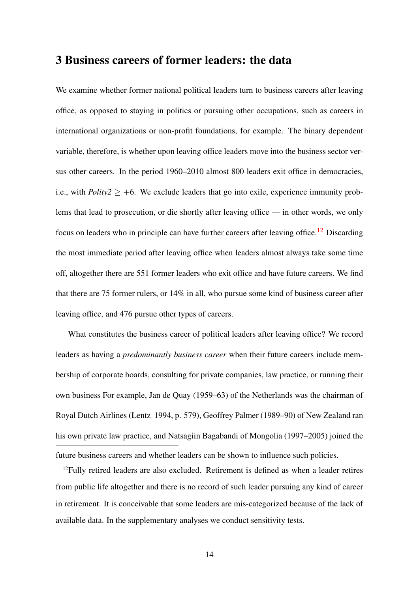### 3 Business careers of former leaders: the data

We examine whether former national political leaders turn to business careers after leaving office, as opposed to staying in politics or pursuing other occupations, such as careers in international organizations or non-profit foundations, for example. The binary dependent variable, therefore, is whether upon leaving office leaders move into the business sector versus other careers. In the period 1960–2010 almost 800 leaders exit office in democracies, i.e., with *Polity2*  $\geq$  +6. We exclude leaders that go into exile, experience immunity problems that lead to prosecution, or die shortly after leaving office — in other words, we only focus on leaders who in principle can have further careers after leaving office.<sup>[12](#page-13-0)</sup> Discarding the most immediate period after leaving office when leaders almost always take some time off, altogether there are 551 former leaders who exit office and have future careers. We find that there are 75 former rulers, or 14% in all, who pursue some kind of business career after leaving office, and 476 pursue other types of careers.

What constitutes the business career of political leaders after leaving office? We record leaders as having a *predominantly business career* when their future careers include membership of corporate boards, consulting for private companies, law practice, or running their own business For example, Jan de Quay (1959–63) of the Netherlands was the chairman of Royal Dutch Airlines [\(Lentz](#page-30-9) [1994,](#page-30-9) p. 579), Geoffrey Palmer (1989–90) of New Zealand ran his own private law practice, and Natsagiin Bagabandi of Mongolia (1997–2005) joined the future business careers and whether leaders can be shown to influence such policies.

<span id="page-13-0"></span><sup>12</sup>Fully retired leaders are also excluded. Retirement is defined as when a leader retires from public life altogether and there is no record of such leader pursuing any kind of career in retirement. It is conceivable that some leaders are mis-categorized because of the lack of available data. In the supplementary analyses we conduct sensitivity tests.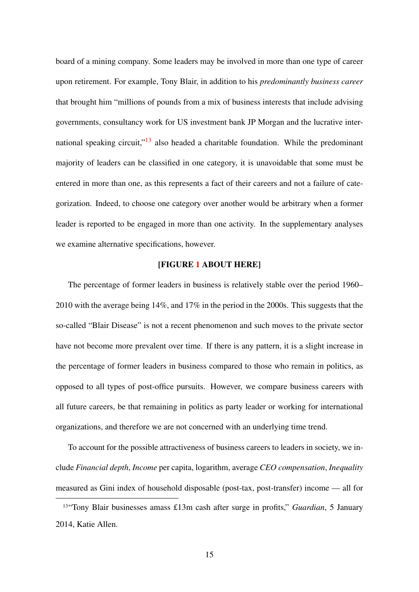board of a mining company. Some leaders may be involved in more than one type of career upon retirement. For example, Tony Blair, in addition to his *predominantly business career* that brought him "millions of pounds from a mix of business interests that include advising governments, consultancy work for US investment bank JP Morgan and the lucrative international speaking circuit," $\frac{13}{13}$  $\frac{13}{13}$  $\frac{13}{13}$  also headed a charitable foundation. While the predominant majority of leaders can be classified in one category, it is unavoidable that some must be entered in more than one, as this represents a fact of their careers and not a failure of categorization. Indeed, to choose one category over another would be arbitrary when a former leader is reported to be engaged in more than one activity. In the supplementary analyses we examine alternative specifications, however.

### [FIGURE [1](#page-31-0) ABOUT HERE]

The percentage of former leaders in business is relatively stable over the period 1960– 2010 with the average being 14%, and 17% in the period in the 2000s. This suggests that the so-called "Blair Disease" is not a recent phenomenon and such moves to the private sector have not become more prevalent over time. If there is any pattern, it is a slight increase in the percentage of former leaders in business compared to those who remain in politics, as opposed to all types of post-office pursuits. However, we compare business careers with all future careers, be that remaining in politics as party leader or working for international organizations, and therefore we are not concerned with an underlying time trend.

To account for the possible attractiveness of business careers to leaders in society, we include *Financial depth*, *Income* per capita, logarithm, average *CEO compensation*, *Inequality* measured as Gini index of household disposable (post-tax, post-transfer) income — all for

<span id="page-14-0"></span><sup>13</sup>"Tony Blair businesses amass £13m cash after surge in profits," *Guardian*, 5 January 2014, Katie Allen.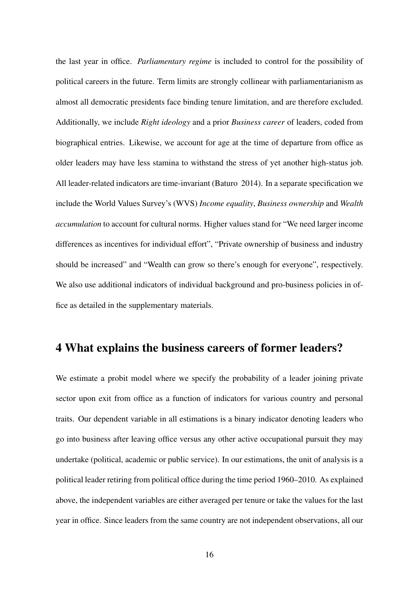the last year in office. *Parliamentary regime* is included to control for the possibility of political careers in the future. Term limits are strongly collinear with parliamentarianism as almost all democratic presidents face binding tenure limitation, and are therefore excluded. Additionally, we include *Right ideology* and a prior *Business career* of leaders, coded from biographical entries. Likewise, we account for age at the time of departure from office as older leaders may have less stamina to withstand the stress of yet another high-status job. All leader-related indicators are time-invariant [\(Baturo](#page-27-3) [2014\)](#page-27-3). In a separate specification we include the World Values Survey's (WVS) *Income equality*, *Business ownership* and *Wealth accumulation* to account for cultural norms. Higher values stand for "We need larger income differences as incentives for individual effort", "Private ownership of business and industry should be increased" and "Wealth can grow so there's enough for everyone", respectively. We also use additional indicators of individual background and pro-business policies in office as detailed in the supplementary materials.

### 4 What explains the business careers of former leaders?

We estimate a probit model where we specify the probability of a leader joining private sector upon exit from office as a function of indicators for various country and personal traits. Our dependent variable in all estimations is a binary indicator denoting leaders who go into business after leaving office versus any other active occupational pursuit they may undertake (political, academic or public service). In our estimations, the unit of analysis is a political leader retiring from political office during the time period 1960–2010. As explained above, the independent variables are either averaged per tenure or take the values for the last year in office. Since leaders from the same country are not independent observations, all our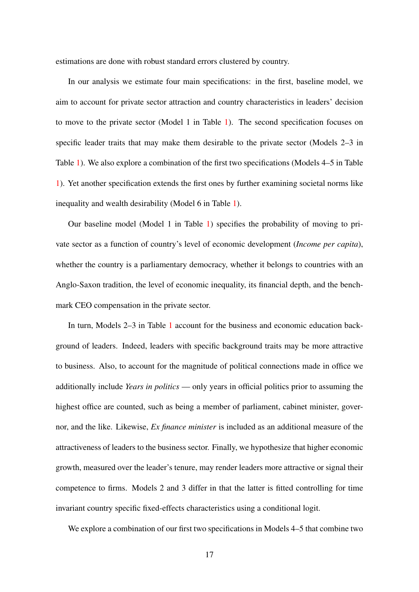estimations are done with robust standard errors clustered by country.

In our analysis we estimate four main specifications: in the first, baseline model, we aim to account for private sector attraction and country characteristics in leaders' decision to move to the private sector (Model 1 in Table [1\)](#page-32-0). The second specification focuses on specific leader traits that may make them desirable to the private sector (Models 2–3 in Table [1\)](#page-32-0). We also explore a combination of the first two specifications (Models 4–5 in Table [1\)](#page-32-0). Yet another specification extends the first ones by further examining societal norms like inequality and wealth desirability (Model 6 in Table [1\)](#page-32-0).

Our baseline model (Model 1 in Table [1\)](#page-32-0) specifies the probability of moving to private sector as a function of country's level of economic development (*Income per capita*), whether the country is a parliamentary democracy, whether it belongs to countries with an Anglo-Saxon tradition, the level of economic inequality, its financial depth, and the benchmark CEO compensation in the private sector.

In turn, Models 2–3 in Table [1](#page-32-0) account for the business and economic education background of leaders. Indeed, leaders with specific background traits may be more attractive to business. Also, to account for the magnitude of political connections made in office we additionally include *Years in politics* — only years in official politics prior to assuming the highest office are counted, such as being a member of parliament, cabinet minister, governor, and the like. Likewise, *Ex finance minister* is included as an additional measure of the attractiveness of leaders to the business sector. Finally, we hypothesize that higher economic growth, measured over the leader's tenure, may render leaders more attractive or signal their competence to firms. Models 2 and 3 differ in that the latter is fitted controlling for time invariant country specific fixed-effects characteristics using a conditional logit.

We explore a combination of our first two specifications in Models 4–5 that combine two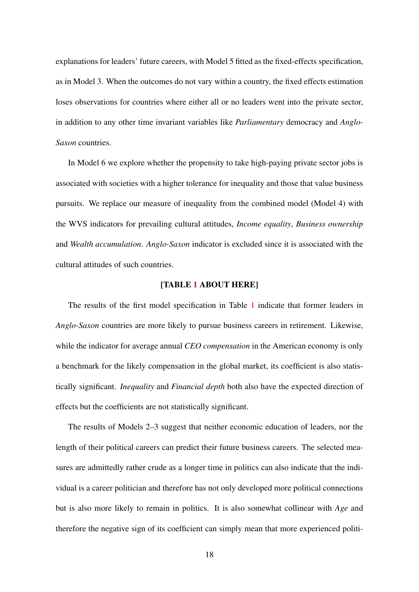explanations for leaders' future careers, with Model 5 fitted as the fixed-effects specification, as in Model 3. When the outcomes do not vary within a country, the fixed effects estimation loses observations for countries where either all or no leaders went into the private sector, in addition to any other time invariant variables like *Parliamentary* democracy and *Anglo-Saxon* countries.

In Model 6 we explore whether the propensity to take high-paying private sector jobs is associated with societies with a higher tolerance for inequality and those that value business pursuits. We replace our measure of inequality from the combined model (Model 4) with the WVS indicators for prevailing cultural attitudes, *Income equality*, *Business ownership* and *Wealth accumulation*. *Anglo-Saxon* indicator is excluded since it is associated with the cultural attitudes of such countries.

#### [TABLE [1](#page-32-0) ABOUT HERE]

The results of the first model specification in Table [1](#page-32-0) indicate that former leaders in *Anglo-Saxon* countries are more likely to pursue business careers in retirement. Likewise, while the indicator for average annual *CEO compensation* in the American economy is only a benchmark for the likely compensation in the global market, its coefficient is also statistically significant. *Inequality* and *Financial depth* both also have the expected direction of effects but the coefficients are not statistically significant.

The results of Models 2–3 suggest that neither economic education of leaders, nor the length of their political careers can predict their future business careers. The selected measures are admittedly rather crude as a longer time in politics can also indicate that the individual is a career politician and therefore has not only developed more political connections but is also more likely to remain in politics. It is also somewhat collinear with *Age* and therefore the negative sign of its coefficient can simply mean that more experienced politi-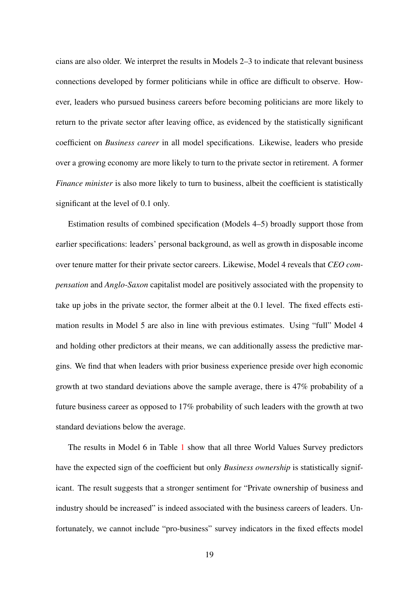cians are also older. We interpret the results in Models 2–3 to indicate that relevant business connections developed by former politicians while in office are difficult to observe. However, leaders who pursued business careers before becoming politicians are more likely to return to the private sector after leaving office, as evidenced by the statistically significant coefficient on *Business career* in all model specifications. Likewise, leaders who preside over a growing economy are more likely to turn to the private sector in retirement. A former *Finance minister* is also more likely to turn to business, albeit the coefficient is statistically significant at the level of 0.1 only.

Estimation results of combined specification (Models 4–5) broadly support those from earlier specifications: leaders' personal background, as well as growth in disposable income over tenure matter for their private sector careers. Likewise, Model 4 reveals that *CEO compensation* and *Anglo-Saxon* capitalist model are positively associated with the propensity to take up jobs in the private sector, the former albeit at the 0.1 level. The fixed effects estimation results in Model 5 are also in line with previous estimates. Using "full" Model 4 and holding other predictors at their means, we can additionally assess the predictive margins. We find that when leaders with prior business experience preside over high economic growth at two standard deviations above the sample average, there is 47% probability of a future business career as opposed to 17% probability of such leaders with the growth at two standard deviations below the average.

The results in Model 6 in Table [1](#page-32-0) show that all three World Values Survey predictors have the expected sign of the coefficient but only *Business ownership* is statistically significant. The result suggests that a stronger sentiment for "Private ownership of business and industry should be increased" is indeed associated with the business careers of leaders. Unfortunately, we cannot include "pro-business" survey indicators in the fixed effects model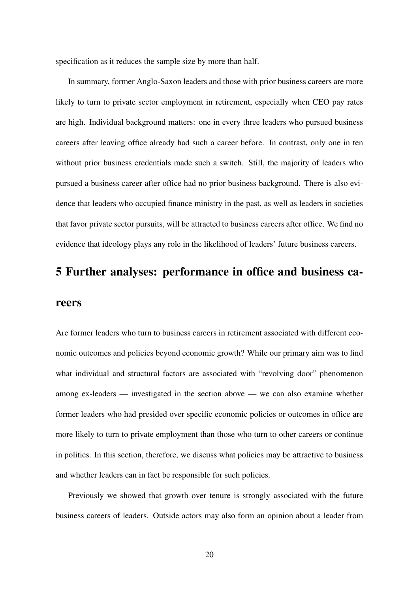specification as it reduces the sample size by more than half.

In summary, former Anglo-Saxon leaders and those with prior business careers are more likely to turn to private sector employment in retirement, especially when CEO pay rates are high. Individual background matters: one in every three leaders who pursued business careers after leaving office already had such a career before. In contrast, only one in ten without prior business credentials made such a switch. Still, the majority of leaders who pursued a business career after office had no prior business background. There is also evidence that leaders who occupied finance ministry in the past, as well as leaders in societies that favor private sector pursuits, will be attracted to business careers after office. We find no evidence that ideology plays any role in the likelihood of leaders' future business careers.

# 5 Further analyses: performance in office and business ca-

### reers

Are former leaders who turn to business careers in retirement associated with different economic outcomes and policies beyond economic growth? While our primary aim was to find what individual and structural factors are associated with "revolving door" phenomenon among ex-leaders — investigated in the section above — we can also examine whether former leaders who had presided over specific economic policies or outcomes in office are more likely to turn to private employment than those who turn to other careers or continue in politics. In this section, therefore, we discuss what policies may be attractive to business and whether leaders can in fact be responsible for such policies.

Previously we showed that growth over tenure is strongly associated with the future business careers of leaders. Outside actors may also form an opinion about a leader from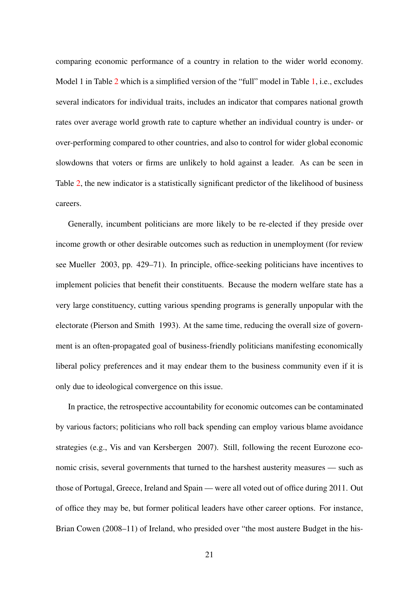comparing economic performance of a country in relation to the wider world economy. Model 1 in Table [2](#page-33-0) which is a simplified version of the "full" model in Table [1,](#page-32-0) i.e., excludes several indicators for individual traits, includes an indicator that compares national growth rates over average world growth rate to capture whether an individual country is under- or over-performing compared to other countries, and also to control for wider global economic slowdowns that voters or firms are unlikely to hold against a leader. As can be seen in Table [2,](#page-33-0) the new indicator is a statistically significant predictor of the likelihood of business careers.

Generally, incumbent politicians are more likely to be re-elected if they preside over income growth or other desirable outcomes such as reduction in unemployment (for review see [Mueller](#page-30-10) [2003,](#page-30-10) pp. 429–71). In principle, office-seeking politicians have incentives to implement policies that benefit their constituents. Because the modern welfare state has a very large constituency, cutting various spending programs is generally unpopular with the electorate [\(Pierson and Smith](#page-30-11) [1993\)](#page-30-11). At the same time, reducing the overall size of government is an often-propagated goal of business-friendly politicians manifesting economically liberal policy preferences and it may endear them to the business community even if it is only due to ideological convergence on this issue.

In practice, the retrospective accountability for economic outcomes can be contaminated by various factors; politicians who roll back spending can employ various blame avoidance strategies (e.g., [Vis and van Kersbergen](#page-30-12) [2007\)](#page-30-12). Still, following the recent Eurozone economic crisis, several governments that turned to the harshest austerity measures — such as those of Portugal, Greece, Ireland and Spain — were all voted out of office during 2011. Out of office they may be, but former political leaders have other career options. For instance, Brian Cowen (2008–11) of Ireland, who presided over "the most austere Budget in the his-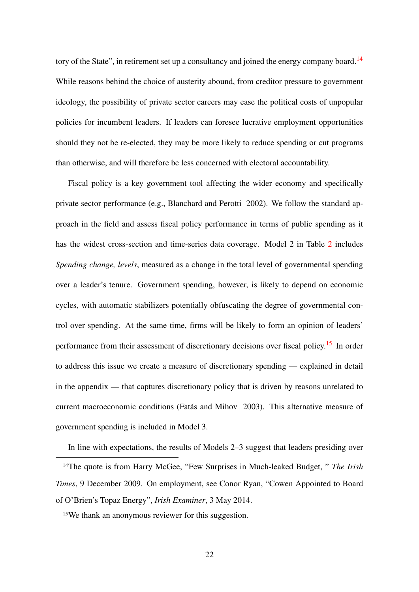tory of the State", in retirement set up a consultancy and joined the energy company board.<sup>[14](#page-21-0)</sup> While reasons behind the choice of austerity abound, from creditor pressure to government ideology, the possibility of private sector careers may ease the political costs of unpopular policies for incumbent leaders. If leaders can foresee lucrative employment opportunities should they not be re-elected, they may be more likely to reduce spending or cut programs than otherwise, and will therefore be less concerned with electoral accountability.

Fiscal policy is a key government tool affecting the wider economy and specifically private sector performance (e.g., [Blanchard and Perotti](#page-27-7) [2002\)](#page-27-7). We follow the standard approach in the field and assess fiscal policy performance in terms of public spending as it has the widest cross-section and time-series data coverage. Model 2 in Table [2](#page-33-0) includes *Spending change, levels*, measured as a change in the total level of governmental spending over a leader's tenure. Government spending, however, is likely to depend on economic cycles, with automatic stabilizers potentially obfuscating the degree of governmental control over spending. At the same time, firms will be likely to form an opinion of leaders' performance from their assessment of discretionary decisions over fiscal policy.<sup>[15](#page-21-1)</sup> In order to address this issue we create a measure of discretionary spending — explained in detail in the appendix — that captures discretionary policy that is driven by reasons unrelated to current macroeconomic conditions (Fatás and Mihov [2003\)](#page-29-11). This alternative measure of government spending is included in Model 3.

In line with expectations, the results of Models 2–3 suggest that leaders presiding over

<span id="page-21-0"></span><sup>14</sup>The quote is from Harry McGee, "Few Surprises in Much-leaked Budget, " *The Irish Times*, 9 December 2009. On employment, see Conor Ryan, "Cowen Appointed to Board of O'Brien's Topaz Energy", *Irish Examiner*, 3 May 2014.

<span id="page-21-1"></span><sup>15</sup>We thank an anonymous reviewer for this suggestion.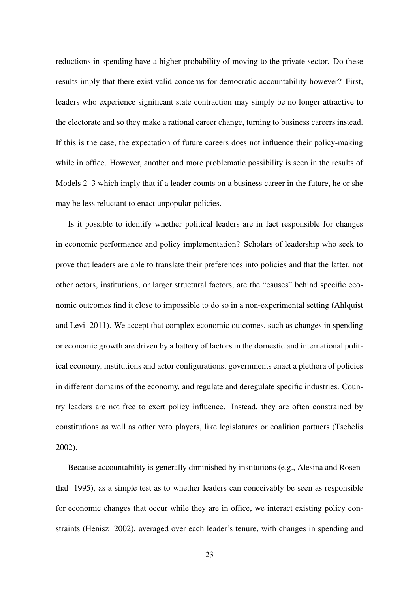reductions in spending have a higher probability of moving to the private sector. Do these results imply that there exist valid concerns for democratic accountability however? First, leaders who experience significant state contraction may simply be no longer attractive to the electorate and so they make a rational career change, turning to business careers instead. If this is the case, the expectation of future careers does not influence their policy-making while in office. However, another and more problematic possibility is seen in the results of Models 2–3 which imply that if a leader counts on a business career in the future, he or she may be less reluctant to enact unpopular policies.

Is it possible to identify whether political leaders are in fact responsible for changes in economic performance and policy implementation? Scholars of leadership who seek to prove that leaders are able to translate their preferences into policies and that the latter, not other actors, institutions, or larger structural factors, are the "causes" behind specific economic outcomes find it close to impossible to do so in a non-experimental setting [\(Ahlquist](#page-27-8) [and Levi](#page-27-8) [2011\)](#page-27-8). We accept that complex economic outcomes, such as changes in spending or economic growth are driven by a battery of factors in the domestic and international political economy, institutions and actor configurations; governments enact a plethora of policies in different domains of the economy, and regulate and deregulate specific industries. Country leaders are not free to exert policy influence. Instead, they are often constrained by constitutions as well as other veto players, like legislatures or coalition partners [\(Tsebelis](#page-30-13) [2002\)](#page-30-13).

Because accountability is generally diminished by institutions (e.g., [Alesina and Rosen](#page-27-9)[thal](#page-27-9) [1995\)](#page-27-9), as a simple test as to whether leaders can conceivably be seen as responsible for economic changes that occur while they are in office, we interact existing policy constraints [\(Henisz](#page-29-12) [2002\)](#page-29-12), averaged over each leader's tenure, with changes in spending and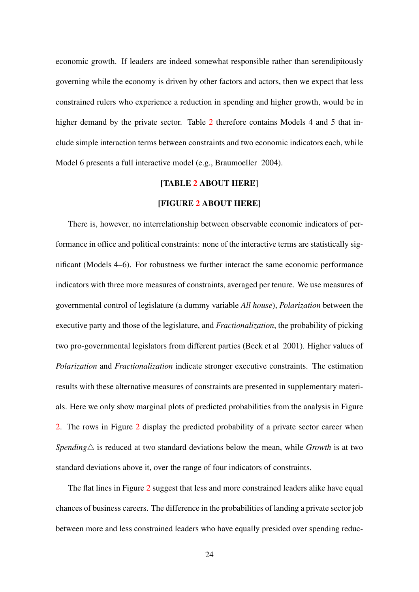economic growth. If leaders are indeed somewhat responsible rather than serendipitously governing while the economy is driven by other factors and actors, then we expect that less constrained rulers who experience a reduction in spending and higher growth, would be in higher demand by the private sector. Table [2](#page-33-0) therefore contains Models 4 and 5 that include simple interaction terms between constraints and two economic indicators each, while Model 6 presents a full interactive model (e.g., [Braumoeller](#page-28-12) [2004\)](#page-28-12).

### [TABLE [2](#page-33-0) ABOUT HERE]

### [FIGURE [2](#page-34-0) ABOUT HERE]

There is, however, no interrelationship between observable economic indicators of performance in office and political constraints: none of the interactive terms are statistically significant (Models 4–6). For robustness we further interact the same economic performance indicators with three more measures of constraints, averaged per tenure. We use measures of governmental control of legislature (a dummy variable *All house*), *Polarization* between the executive party and those of the legislature, and *Fractionalization*, the probability of picking two pro-governmental legislators from different parties [\(Beck et al](#page-27-10) [2001\)](#page-27-10). Higher values of *Polarization* and *Fractionalization* indicate stronger executive constraints. The estimation results with these alternative measures of constraints are presented in supplementary materials. Here we only show marginal plots of predicted probabilities from the analysis in Figure [2.](#page-34-0) The rows in Figure [2](#page-34-0) display the predicted probability of a private sector career when *Spending* $\triangle$  is reduced at two standard deviations below the mean, while *Growth* is at two standard deviations above it, over the range of four indicators of constraints.

The flat lines in Figure [2](#page-34-0) suggest that less and more constrained leaders alike have equal chances of business careers. The difference in the probabilities of landing a private sector job between more and less constrained leaders who have equally presided over spending reduc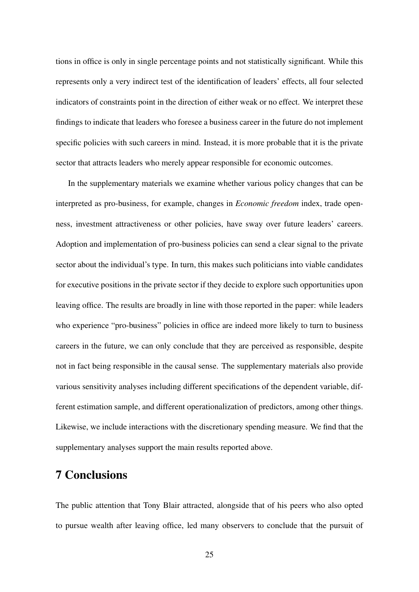tions in office is only in single percentage points and not statistically significant. While this represents only a very indirect test of the identification of leaders' effects, all four selected indicators of constraints point in the direction of either weak or no effect. We interpret these findings to indicate that leaders who foresee a business career in the future do not implement specific policies with such careers in mind. Instead, it is more probable that it is the private sector that attracts leaders who merely appear responsible for economic outcomes.

In the supplementary materials we examine whether various policy changes that can be interpreted as pro-business, for example, changes in *Economic freedom* index, trade openness, investment attractiveness or other policies, have sway over future leaders' careers. Adoption and implementation of pro-business policies can send a clear signal to the private sector about the individual's type. In turn, this makes such politicians into viable candidates for executive positions in the private sector if they decide to explore such opportunities upon leaving office. The results are broadly in line with those reported in the paper: while leaders who experience "pro-business" policies in office are indeed more likely to turn to business careers in the future, we can only conclude that they are perceived as responsible, despite not in fact being responsible in the causal sense. The supplementary materials also provide various sensitivity analyses including different specifications of the dependent variable, different estimation sample, and different operationalization of predictors, among other things. Likewise, we include interactions with the discretionary spending measure. We find that the supplementary analyses support the main results reported above.

# 7 Conclusions

The public attention that Tony Blair attracted, alongside that of his peers who also opted to pursue wealth after leaving office, led many observers to conclude that the pursuit of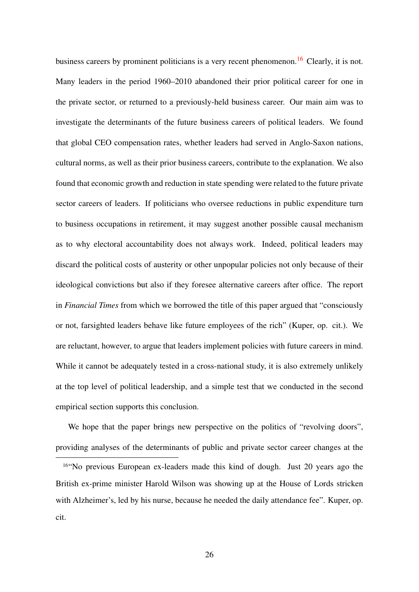business careers by prominent politicians is a very recent phenomenon.<sup>[16](#page-25-0)</sup> Clearly, it is not. Many leaders in the period 1960–2010 abandoned their prior political career for one in the private sector, or returned to a previously-held business career. Our main aim was to investigate the determinants of the future business careers of political leaders. We found that global CEO compensation rates, whether leaders had served in Anglo-Saxon nations, cultural norms, as well as their prior business careers, contribute to the explanation. We also found that economic growth and reduction in state spending were related to the future private sector careers of leaders. If politicians who oversee reductions in public expenditure turn to business occupations in retirement, it may suggest another possible causal mechanism as to why electoral accountability does not always work. Indeed, political leaders may discard the political costs of austerity or other unpopular policies not only because of their ideological convictions but also if they foresee alternative careers after office. The report in *Financial Times* from which we borrowed the title of this paper argued that "consciously or not, farsighted leaders behave like future employees of the rich" (Kuper, op. cit.). We are reluctant, however, to argue that leaders implement policies with future careers in mind. While it cannot be adequately tested in a cross-national study, it is also extremely unlikely at the top level of political leadership, and a simple test that we conducted in the second empirical section supports this conclusion.

We hope that the paper brings new perspective on the politics of "revolving doors", providing analyses of the determinants of public and private sector career changes at the

<span id="page-25-0"></span><sup>16</sup>"No previous European ex-leaders made this kind of dough. Just 20 years ago the British ex-prime minister Harold Wilson was showing up at the House of Lords stricken with Alzheimer's, led by his nurse, because he needed the daily attendance fee". Kuper, op. cit.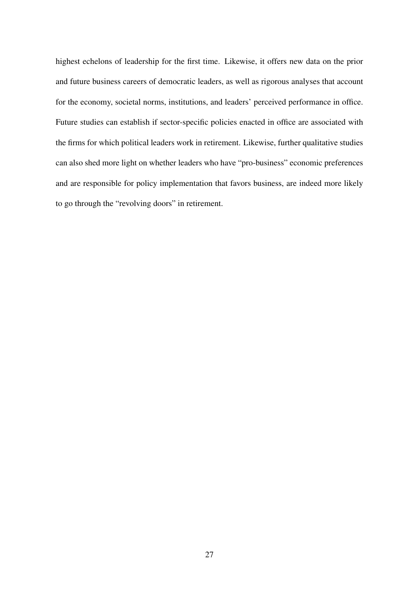highest echelons of leadership for the first time. Likewise, it offers new data on the prior and future business careers of democratic leaders, as well as rigorous analyses that account for the economy, societal norms, institutions, and leaders' perceived performance in office. Future studies can establish if sector-specific policies enacted in office are associated with the firms for which political leaders work in retirement. Likewise, further qualitative studies can also shed more light on whether leaders who have "pro-business" economic preferences and are responsible for policy implementation that favors business, are indeed more likely to go through the "revolving doors" in retirement.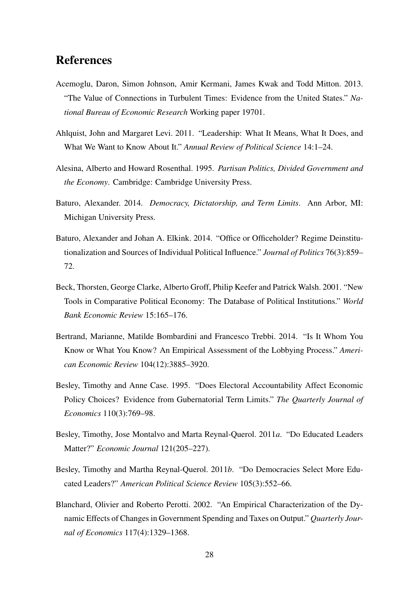# References

- <span id="page-27-5"></span>Acemoglu, Daron, Simon Johnson, Amir Kermani, James Kwak and Todd Mitton. 2013. "The Value of Connections in Turbulent Times: Evidence from the United States." *National Bureau of Economic Research* Working paper 19701.
- <span id="page-27-8"></span>Ahlquist, John and Margaret Levi. 2011. "Leadership: What It Means, What It Does, and What We Want to Know About It." *Annual Review of Political Science* 14:1–24.
- <span id="page-27-9"></span>Alesina, Alberto and Howard Rosenthal. 1995. *Partisan Politics, Divided Government and the Economy*. Cambridge: Cambridge University Press.
- <span id="page-27-3"></span>Baturo, Alexander. 2014. *Democracy, Dictatorship, and Term Limits*. Ann Arbor, MI: Michigan University Press.
- <span id="page-27-6"></span>Baturo, Alexander and Johan A. Elkink. 2014. "Office or Officeholder? Regime Deinstitutionalization and Sources of Individual Political Influence." *Journal of Politics* 76(3):859– 72.
- <span id="page-27-10"></span>Beck, Thorsten, George Clarke, Alberto Groff, Philip Keefer and Patrick Walsh. 2001. "New Tools in Comparative Political Economy: The Database of Political Institutions." *World Bank Economic Review* 15:165–176.
- <span id="page-27-0"></span>Bertrand, Marianne, Matilde Bombardini and Francesco Trebbi. 2014. "Is It Whom You Know or What You Know? An Empirical Assessment of the Lobbying Process." *American Economic Review* 104(12):3885–3920.
- <span id="page-27-2"></span>Besley, Timothy and Anne Case. 1995. "Does Electoral Accountability Affect Economic Policy Choices? Evidence from Gubernatorial Term Limits." *The Quarterly Journal of Economics* 110(3):769–98.
- <span id="page-27-1"></span>Besley, Timothy, Jose Montalvo and Marta Reynal-Querol. 2011*a*. "Do Educated Leaders Matter?" *Economic Journal* 121(205–227).
- <span id="page-27-4"></span>Besley, Timothy and Martha Reynal-Querol. 2011*b*. "Do Democracies Select More Educated Leaders?" *American Political Science Review* 105(3):552–66.
- <span id="page-27-7"></span>Blanchard, Olivier and Roberto Perotti. 2002. "An Empirical Characterization of the Dynamic Effects of Changes in Government Spending and Taxes on Output." *Quarterly Journal of Economics* 117(4):1329–1368.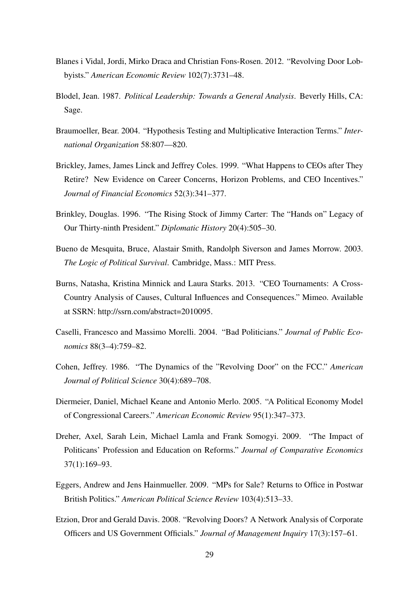- <span id="page-28-3"></span>Blanes i Vidal, Jordi, Mirko Draca and Christian Fons-Rosen. 2012. "Revolving Door Lobbyists." *American Economic Review* 102(7):3731–48.
- <span id="page-28-8"></span>Blodel, Jean. 1987. *Political Leadership: Towards a General Analysis*. Beverly Hills, CA: Sage.
- <span id="page-28-12"></span>Braumoeller, Bear. 2004. "Hypothesis Testing and Multiplicative Interaction Terms." *International Organization* 58:807—820.
- <span id="page-28-11"></span>Brickley, James, James Linck and Jeffrey Coles. 1999. "What Happens to CEOs after They Retire? New Evidence on Career Concerns, Horizon Problems, and CEO Incentives." *Journal of Financial Economics* 52(3):341–377.
- <span id="page-28-9"></span>Brinkley, Douglas. 1996. "The Rising Stock of Jimmy Carter: The "Hands on" Legacy of Our Thirty-ninth President." *Diplomatic History* 20(4):505–30.
- <span id="page-28-0"></span>Bueno de Mesquita, Bruce, Alastair Smith, Randolph Siverson and James Morrow. 2003. *The Logic of Political Survival*. Cambridge, Mass.: MIT Press.
- <span id="page-28-7"></span>Burns, Natasha, Kristina Minnick and Laura Starks. 2013. "CEO Tournaments: A Cross-Country Analysis of Causes, Cultural Influences and Consequences." Mimeo. Available at SSRN: http://ssrn.com/abstract=2010095.
- <span id="page-28-6"></span>Caselli, Francesco and Massimo Morelli. 2004. "Bad Politicians." *Journal of Public Economics* 88(3–4):759–82.
- <span id="page-28-5"></span>Cohen, Jeffrey. 1986. "The Dynamics of the "Revolving Door" on the FCC." *American Journal of Political Science* 30(4):689–708.
- <span id="page-28-1"></span>Diermeier, Daniel, Michael Keane and Antonio Merlo. 2005. "A Political Economy Model of Congressional Careers." *American Economic Review* 95(1):347–373.
- <span id="page-28-10"></span>Dreher, Axel, Sarah Lein, Michael Lamla and Frank Somogyi. 2009. "The Impact of Politicans' Profession and Education on Reforms." *Journal of Comparative Economics* 37(1):169–93.
- <span id="page-28-2"></span>Eggers, Andrew and Jens Hainmueller. 2009. "MPs for Sale? Returns to Office in Postwar British Politics." *American Political Science Review* 103(4):513–33.
- <span id="page-28-4"></span>Etzion, Dror and Gerald Davis. 2008. "Revolving Doors? A Network Analysis of Corporate Officers and US Government Officials." *Journal of Management Inquiry* 17(3):157–61.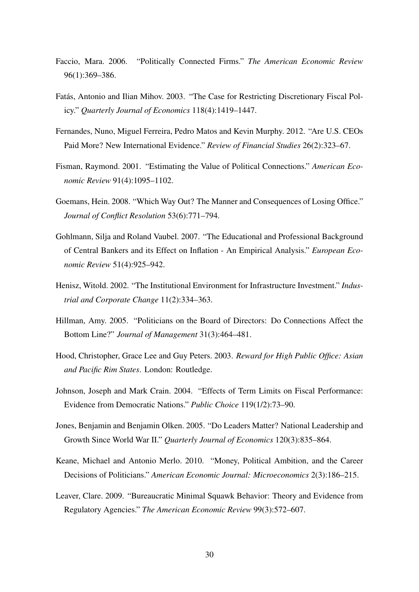- <span id="page-29-8"></span>Faccio, Mara. 2006. "Politically Connected Firms." *The American Economic Review* 96(1):369–386.
- <span id="page-29-11"></span>Fatás, Antonio and Ilian Mihov. 2003. "The Case for Restricting Discretionary Fiscal Policy." *Quarterly Journal of Economics* 118(4):1419–1447.
- <span id="page-29-7"></span>Fernandes, Nuno, Miguel Ferreira, Pedro Matos and Kevin Murphy. 2012. "Are U.S. CEOs Paid More? New International Evidence." *Review of Financial Studies* 26(2):323–67.
- <span id="page-29-9"></span>Fisman, Raymond. 2001. "Estimating the Value of Political Connections." *American Economic Review* 91(4):1095–1102.
- <span id="page-29-0"></span>Goemans, Hein. 2008. "Which Way Out? The Manner and Consequences of Losing Office." *Journal of Conflict Resolution* 53(6):771–794.
- <span id="page-29-10"></span>Gohlmann, Silja and Roland Vaubel. 2007. "The Educational and Professional Background of Central Bankers and its Effect on Inflation - An Empirical Analysis." *European Economic Review* 51(4):925–942.
- <span id="page-29-12"></span>Henisz, Witold. 2002. "The Institutional Environment for Infrastructure Investment." *Industrial and Corporate Change* 11(2):334–363.
- <span id="page-29-1"></span>Hillman, Amy. 2005. "Politicians on the Board of Directors: Do Connections Affect the Bottom Line?" *Journal of Management* 31(3):464–481.
- <span id="page-29-6"></span>Hood, Christopher, Grace Lee and Guy Peters. 2003. *Reward for High Public Office: Asian and Pacific Rim States*. London: Routledge.
- <span id="page-29-3"></span>Johnson, Joseph and Mark Crain. 2004. "Effects of Term Limits on Fiscal Performance: Evidence from Democratic Nations." *Public Choice* 119(1/2):73–90.
- <span id="page-29-2"></span>Jones, Benjamin and Benjamin Olken. 2005. "Do Leaders Matter? National Leadership and Growth Since World War II." *Quarterly Journal of Economics* 120(3):835–864.
- <span id="page-29-5"></span>Keane, Michael and Antonio Merlo. 2010. "Money, Political Ambition, and the Career Decisions of Politicians." *American Economic Journal: Microeconomics* 2(3):186–215.
- <span id="page-29-4"></span>Leaver, Clare. 2009. "Bureaucratic Minimal Squawk Behavior: Theory and Evidence from Regulatory Agencies." *The American Economic Review* 99(3):572–607.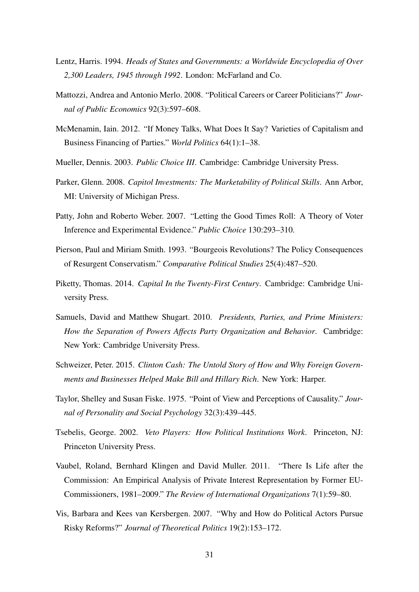- <span id="page-30-9"></span>Lentz, Harris. 1994. *Heads of States and Governments: a Worldwide Encyclopedia of Over 2,300 Leaders, 1945 through 1992*. London: McFarland and Co.
- <span id="page-30-7"></span>Mattozzi, Andrea and Antonio Merlo. 2008. "Political Careers or Career Politicians?" *Journal of Public Economics* 92(3):597–608.
- <span id="page-30-8"></span>McMenamin, Iain. 2012. "If Money Talks, What Does It Say? Varieties of Capitalism and Business Financing of Parties." *World Politics* 64(1):1–38.
- <span id="page-30-10"></span>Mueller, Dennis. 2003. *Public Choice III*. Cambridge: Cambridge University Press.
- <span id="page-30-3"></span>Parker, Glenn. 2008. *Capitol Investments: The Marketability of Political Skills*. Ann Arbor, MI: University of Michigan Press.
- <span id="page-30-6"></span>Patty, John and Roberto Weber. 2007. "Letting the Good Times Roll: A Theory of Voter Inference and Experimental Evidence." *Public Choice* 130:293–310.
- <span id="page-30-11"></span>Pierson, Paul and Miriam Smith. 1993. "Bourgeois Revolutions? The Policy Consequences of Resurgent Conservatism." *Comparative Political Studies* 25(4):487–520.
- <span id="page-30-4"></span>Piketty, Thomas. 2014. *Capital In the Twenty-First Century*. Cambridge: Cambridge University Press.
- <span id="page-30-2"></span>Samuels, David and Matthew Shugart. 2010. *Presidents, Parties, and Prime Ministers: How the Separation of Powers Affects Party Organization and Behavior*. Cambridge: New York: Cambridge University Press.
- <span id="page-30-1"></span>Schweizer, Peter. 2015. *Clinton Cash: The Untold Story of How and Why Foreign Governments and Businesses Helped Make Bill and Hillary Rich*. New York: Harper.
- <span id="page-30-5"></span>Taylor, Shelley and Susan Fiske. 1975. "Point of View and Perceptions of Causality." *Journal of Personality and Social Psychology* 32(3):439–445.
- <span id="page-30-13"></span>Tsebelis, George. 2002. *Veto Players: How Political Institutions Work*. Princeton, NJ: Princeton University Press.
- <span id="page-30-0"></span>Vaubel, Roland, Bernhard Klingen and David Muller. 2011. "There Is Life after the Commission: An Empirical Analysis of Private Interest Representation by Former EU-Commissioners, 1981–2009." *The Review of International Organizations* 7(1):59–80.
- <span id="page-30-12"></span>Vis, Barbara and Kees van Kersbergen. 2007. "Why and How do Political Actors Pursue Risky Reforms?" *Journal of Theoretical Politics* 19(2):153–172.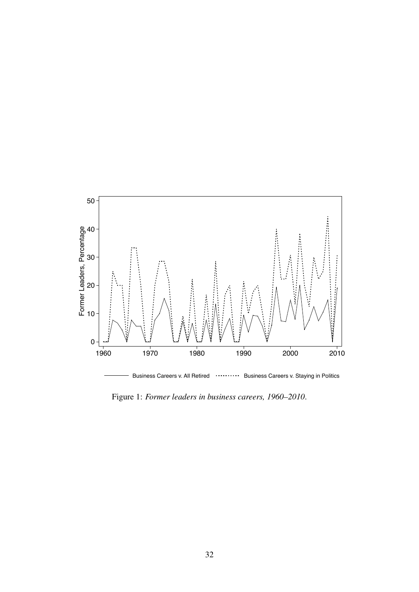<span id="page-31-0"></span>

Figure 1: *Former leaders in business careers, 1960–2010*.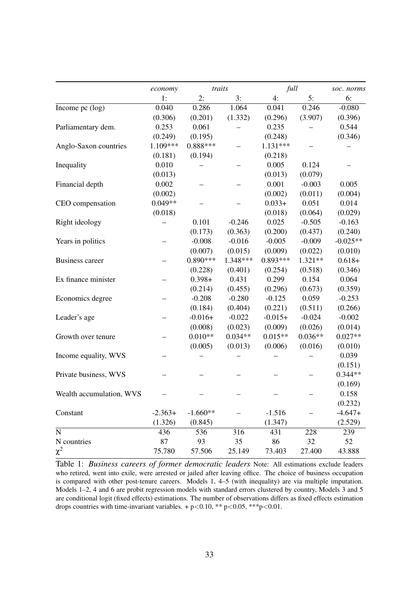<span id="page-32-0"></span>

|                               | economy   | traits     |           | full       |           | soc. norms |
|-------------------------------|-----------|------------|-----------|------------|-----------|------------|
|                               | 1:        | 2:         | 3:        | 4:         | 5:        | 6:         |
| Income pc $(\overline{\log})$ | 0.040     | 0.286      | 1.064     | 0.041      | 0.246     | $-0.080$   |
|                               | (0.306)   | (0.201)    | (1.332)   | (0.296)    | (3.907)   | (0.396)    |
| Parliamentary dem.            | 0.253     | 0.061      |           | 0.235      |           | 0.544      |
|                               | (0.249)   | (0.195)    |           | (0.248)    |           | (0.346)    |
| Anglo-Saxon countries         | 1.109***  | $0.888***$ |           | 1.131***   |           |            |
|                               | (0.181)   | (0.194)    |           | (0.218)    |           |            |
| Inequality                    | 0.010     |            |           | 0.005      | 0.124     |            |
|                               | (0.013)   |            |           | (0.013)    | (0.079)   |            |
| Financial depth               | 0.002     |            |           | 0.001      | $-0.003$  | 0.005      |
|                               | (0.002)   |            |           | (0.002)    | (0.011)   | (0.004)    |
| CEO compensation              | $0.049**$ |            |           | $0.033+$   | 0.051     | 0.014      |
|                               | (0.018)   |            |           | (0.018)    | (0.064)   | (0.029)    |
| Right ideology                |           | 0.101      | $-0.246$  | 0.025      | $-0.505$  | $-0.163$   |
|                               |           | (0.173)    | (0.363)   | (0.200)    | (0.437)   | (0.240)    |
| Years in politics             |           | $-0.008$   | $-0.016$  | $-0.005$   | $-0.009$  | $-0.025**$ |
|                               |           | (0.007)    | (0.015)   | (0.009)    | (0.022)   | (0.010)    |
| <b>Business career</b>        |           | $0.890***$ | 1.348***  | $0.893***$ | 1.321**   | $0.618+$   |
|                               |           | (0.228)    | (0.401)   | (0.254)    | (0.518)   | (0.346)    |
| Ex finance minister           |           | $0.398 +$  | 0.431     | 0.299      | 0.154     | 0.064      |
|                               |           | (0.214)    | (0.455)   | (0.296)    | (0.673)   | (0.359)    |
| Economics degree              |           | $-0.208$   | $-0.280$  | $-0.125$   | 0.059     | $-0.253$   |
|                               |           | (0.184)    | (0.404)   | (0.221)    | (0.511)   | (0.266)    |
| Leader's age                  |           | $-0.016+$  | $-0.022$  | $-0.015+$  | $-0.024$  | $-0.002$   |
|                               |           | (0.008)    | (0.023)   | (0.009)    | (0.026)   | (0.014)    |
| Growth over tenure            |           | $0.010**$  | $0.034**$ | $0.015**$  | $0.036**$ | $0.027**$  |
|                               |           | (0.005)    | (0.013)   | (0.006)    | (0.016)   | (0.010)    |
| Income equality, WVS          |           |            |           |            |           | 0.039      |
|                               |           |            |           |            |           | (0.151)    |
| Private business, WVS         |           |            |           |            |           | $0.344**$  |
|                               |           |            |           |            |           | (0.169)    |
| Wealth accumulation, WVS      |           |            |           |            |           | 0.158      |
|                               |           |            |           |            |           | (0.232)    |
| Constant                      | $-2.363+$ | $-1.660**$ |           | $-1.516$   |           | $-4.647+$  |
|                               | (1.326)   | (0.845)    |           | (1.347)    |           | (2.529)    |
| $\mathbf N$                   | 436       | 536        | 316       | 431        | 228       | 239        |
| N countries                   | 87        | 93         | 35        | 86         | 32        | 52         |
| $\chi^2$                      | 75.780    | 57.506     | 25.149    | 73.403     | 27.400    | 43.888     |

Table 1: *Business careers of former democratic leaders* Note: All estimations exclude leaders who retired, went into exile, were arrested or jailed after leaving office. The choice of business occupation is compared with other post-tenure careers. Models 1, 4–5 (with inequality) are via multiple imputation. Models 1–2, 4 and 6 are probit regression models with standard errors clustered by country, Models 3 and 5 are conditional logit (fixed effects) estimations. The number of observations differs as fixed effects estimation drops countries with time-invariant variables.  $+p<0.10$ , \*\*  $p<0.05$ , \*\*\* $p<0.01$ .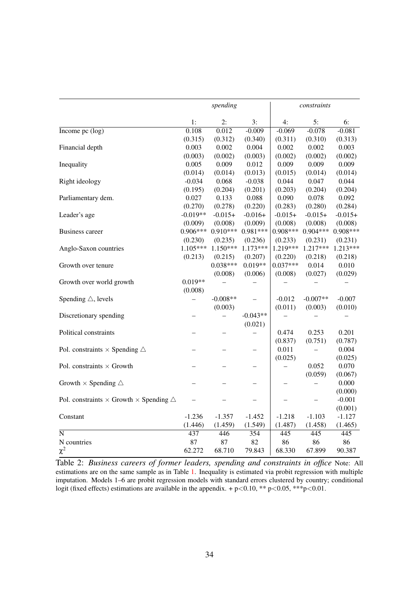<span id="page-33-0"></span>

|                                                                | spending                 |            |            | constraints |            |            |
|----------------------------------------------------------------|--------------------------|------------|------------|-------------|------------|------------|
|                                                                | 1:                       | 2:         | 3:         | 4:          | 5:         | 6:         |
| Income pc $(\log)$                                             | 0.108                    | 0.012      | $-0.009$   | $-0.069$    | $-0.078$   | $-0.081$   |
|                                                                | (0.315)                  | (0.312)    | (0.340)    | (0.311)     | (0.310)    | (0.313)    |
| Financial depth                                                | 0.003                    | 0.002      | 0.004      | 0.002       | 0.002      | 0.003      |
|                                                                | (0.003)                  | (0.002)    | (0.003)    | (0.002)     | (0.002)    | (0.002)    |
| Inequality                                                     | 0.005                    | 0.009      | 0.012      | 0.009       | 0.009      | 0.009      |
|                                                                | (0.014)                  | (0.014)    | (0.013)    | (0.015)     | (0.014)    | (0.014)    |
| Right ideology                                                 | $-0.034$                 | 0.068      | $-0.038$   | 0.044       | 0.047      | 0.044      |
|                                                                | (0.195)                  | (0.204)    | (0.201)    | (0.203)     | (0.204)    | (0.204)    |
| Parliamentary dem.                                             | 0.027                    | 0.133      | 0.088      | 0.090       | 0.078      | 0.092      |
|                                                                | (0.270)                  | (0.278)    | (0.220)    | (0.283)     | (0.280)    | (0.284)    |
| Leader's age                                                   | $-0.019**$               | $-0.015+$  | $-0.016+$  | $-0.015+$   | $-0.015+$  | $-0.015+$  |
|                                                                | (0.009)                  | (0.008)    | (0.009)    | (0.008)     | (0.008)    | (0.008)    |
| <b>Business career</b>                                         | $0.906***$               | $0.910***$ | $0.981***$ | $0.908***$  | $0.904***$ | $0.908***$ |
|                                                                | (0.230)                  | (0.235)    | (0.236)    | (0.233)     | (0.231)    | (0.231)    |
| Anglo-Saxon countries                                          | 1.105***                 | $1.150***$ | 1.173***   | 1.219***    | $1.217***$ | $1.213***$ |
|                                                                | (0.213)                  | (0.215)    | (0.207)    | (0.220)     | (0.218)    | (0.218)    |
| Growth over tenure                                             |                          | $0.038***$ | $0.019**$  | $0.037***$  | 0.014      | 0.010      |
|                                                                |                          | (0.008)    | (0.006)    | (0.008)     | (0.027)    | (0.029)    |
| Growth over world growth                                       | $0.019**$                |            |            |             |            |            |
|                                                                | (0.008)                  |            |            |             |            |            |
| Spending $\triangle$ , levels                                  | $\overline{\phantom{0}}$ | $-0.008**$ |            | $-0.012$    | $-0.007**$ | $-0.007$   |
|                                                                |                          | (0.003)    |            | (0.011)     | (0.003)    | (0.010)    |
| Discretionary spending                                         |                          |            | $-0.043**$ |             |            |            |
|                                                                |                          |            | (0.021)    |             |            |            |
| Political constraints                                          |                          |            |            | 0.474       | 0.253      | 0.201      |
|                                                                |                          |            |            | (0.837)     | (0.751)    | (0.787)    |
| Pol. constraints $\times$ Spending $\triangle$                 |                          |            |            | 0.011       |            | 0.004      |
|                                                                |                          |            |            | (0.025)     |            | (0.025)    |
| Pol. constraints $\times$ Growth                               |                          |            |            |             | 0.052      | 0.070      |
|                                                                |                          |            |            |             | (0.059)    | (0.067)    |
| Growth $\times$ Spending $\triangle$                           |                          |            |            |             |            | 0.000      |
|                                                                |                          |            |            |             |            | (0.000)    |
| Pol. constraints $\times$ Growth $\times$ Spending $\triangle$ |                          |            |            |             |            | $-0.001$   |
|                                                                |                          |            |            |             |            | (0.001)    |
| Constant                                                       | $-1.236$                 | $-1.357$   | $-1.452$   | $-1.218$    | $-1.103$   | $-1.127$   |
|                                                                | (1.446)                  | (1.459)    | (1.549)    | (1.487)     | (1.458)    | (1.465)    |
| $\overline{\rm N}$                                             | 437                      | 446        | 354        | 445         | 445        | 445        |
| N countries                                                    | 87                       | 87         | 82         | 86          | 86         | 86         |
| $\chi^2$                                                       | 62.272                   | 68.710     | 79.843     | 68.330      | 67.899     | 90.387     |

Table 2: *Business careers of former leaders, spending and constraints in office* Note: All estimations are on the same sample as in Table [1.](#page-32-0) Inequality is estimated via probit regression with multiple imputation. Models 1–6 are probit regression models with standard errors clustered by country; conditional logit (fixed effects) estimations are available in the appendix. + p<0.10, \*\* p<0.05, \*\*\* p<0.01.